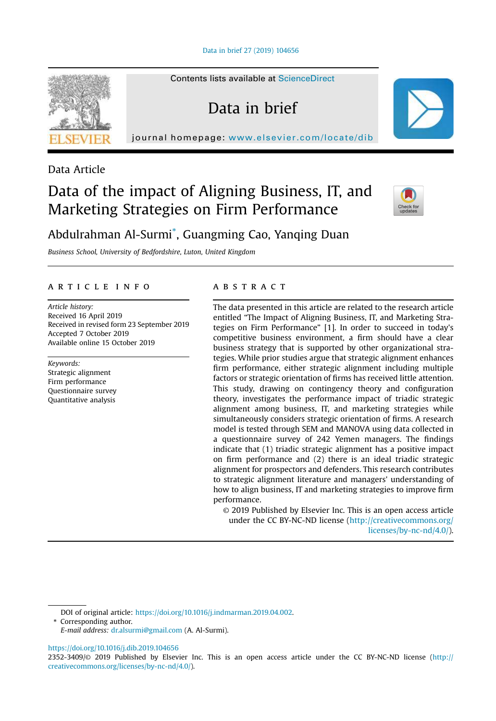Data in brief 27 (2019) 104656

Contents lists available at ScienceDirect

Data in brief

journal homepage: www.elsevier.com/locate/dib



## Data Article

# Data of the impact of Aligning Business, IT, and Marketing Strategies on Firm Performance



## Abdulrahman Al-Surmi\* , Guangming Cao, Yanqing Duan

*Business School, University of Bedfordshire, Luton, United Kingdom*

#### article info

*Article history:* Received 16 April 2019 Received in revised form 23 September 2019 Accepted 7 October 2019 Available online 15 October 2019

*Keywords:*

Strategic alignment Firm performance Questionnaire survey Quantitative analysis

### **ABSTRACT**

The data presented in this article are related to the research article entitled "The Impact of Aligning Business, IT, and Marketing Strategies on Firm Performance" [1]. In order to succeed in today's competitive business environment, a firm should have a clear business strategy that is supported by other organizational strategies. While prior studies argue that strategic alignment enhances firm performance, either strategic alignment including multiple factors or strategic orientation of firms has received little attention. This study, drawing on contingency theory and configuration theory, investigates the performance impact of triadic strategic alignment among business, IT, and marketing strategies while simultaneously considers strategic orientation of firms. A research model is tested through SEM and MANOVA using data collected in a questionnaire survey of 242 Yemen managers. The findings indicate that (1) triadic strategic alignment has a positive impact on firm performance and (2) there is an ideal triadic strategic alignment for prospectors and defenders. This research contributes to strategic alignment literature and managers' understanding of how to align business, IT and marketing strategies to improve firm performance.

© 2019 Published by Elsevier Inc. This is an open access article under the CC BY-NC-ND license (http://creativecommons.org/ licenses/by-nc-nd/4.0/).

DOI of original article: https://doi.org/10.1016/j.indmarman.2019.04.002.

\* Corresponding author.

https://doi.org/10.1016/j.dib.2019.104656

*E-mail address:* dr.alsurmi@gmail.com (A. Al-Surmi).

<sup>2352-3409/</sup>© 2019 Published by Elsevier Inc. This is an open access article under the CC BY-NC-ND license (http:// creativecommons.org/licenses/by-nc-nd/4.0/).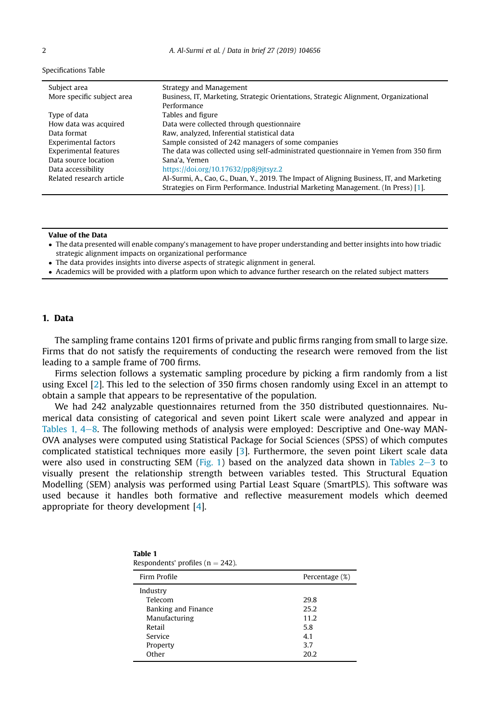#### Specifications Table

| Subject area                 | Strategy and Management                                                                                                                                                       |
|------------------------------|-------------------------------------------------------------------------------------------------------------------------------------------------------------------------------|
| More specific subject area   | Business, IT, Marketing, Strategic Orientations, Strategic Alignment, Organizational                                                                                          |
|                              | Performance                                                                                                                                                                   |
| Type of data                 | Tables and figure                                                                                                                                                             |
| How data was acquired        | Data were collected through questionnaire                                                                                                                                     |
| Data format                  | Raw, analyzed, Inferential statistical data                                                                                                                                   |
| <b>Experimental factors</b>  | Sample consisted of 242 managers of some companies                                                                                                                            |
| <b>Experimental features</b> | The data was collected using self-administrated questionnaire in Yemen from 350 firm                                                                                          |
| Data source location         | Sana'a, Yemen                                                                                                                                                                 |
| Data accessibility           | https://doi.org/10.17632/pp8j9jtsyz.2                                                                                                                                         |
| Related research article     | Al-Surmi, A., Cao, G., Duan, Y., 2019. The Impact of Aligning Business, IT, and Marketing<br>Strategies on Firm Performance. Industrial Marketing Management. (In Press) [1]. |

#### Value of the Data

 The data presented will enable company's management to have proper understanding and better insights into how triadic strategic alignment impacts on organizational performance

- The data provides insights into diverse aspects of strategic alignment in general.
- Academics will be provided with a platform upon which to advance further research on the related subject matters

#### 1. Data

The sampling frame contains 1201 firms of private and public firms ranging from small to large size. Firms that do not satisfy the requirements of conducting the research were removed from the list leading to a sample frame of 700 firms.

Firms selection follows a systematic sampling procedure by picking a firm randomly from a list using Excel [2]. This led to the selection of 350 firms chosen randomly using Excel in an attempt to obtain a sample that appears to be representative of the population.

We had 242 analyzable questionnaires returned from the 350 distributed questionnaires. Numerical data consisting of categorical and seven point Likert scale were analyzed and appear in Tables 1,  $4-8$ . The following methods of analysis were employed: Descriptive and One-way MAN-OVA analyses were computed using Statistical Package for Social Sciences (SPSS) of which computes complicated statistical techniques more easily [3]. Furthermore, the seven point Likert scale data were also used in constructing SEM (Fig. 1) based on the analyzed data shown in Tables  $2-3$  to visually present the relationship strength between variables tested. This Structural Equation Modelling (SEM) analysis was performed using Partial Least Square (SmartPLS). This software was used because it handles both formative and reflective measurement models which deemed appropriate for theory development [4].

| Table 1                              |  |  |
|--------------------------------------|--|--|
| Respondents' profiles ( $n = 242$ ). |  |  |

| Firm Profile        | Percentage (%) |  |  |
|---------------------|----------------|--|--|
| Industry            |                |  |  |
| Telecom             | 29.8           |  |  |
| Banking and Finance | 25.2           |  |  |
| Manufacturing       | 11.2           |  |  |
| Retail              | 5.8            |  |  |
| Service             | 4.1            |  |  |
| Property            | 3.7            |  |  |
| Other               | 20.2           |  |  |
|                     |                |  |  |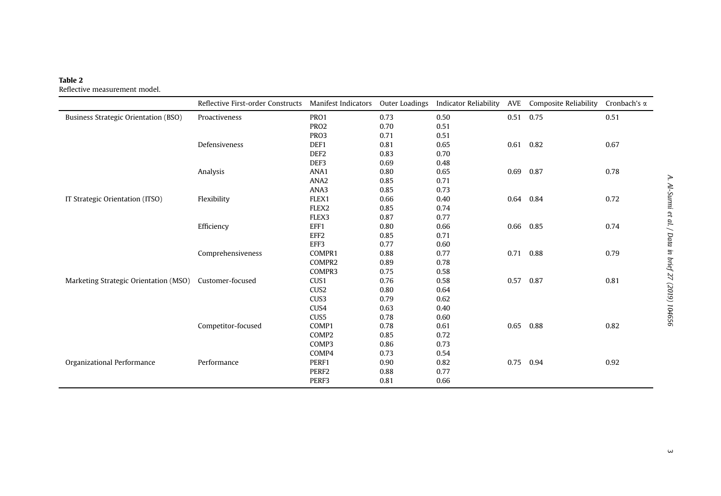#### Table 2 Reflective measurement model.

|                                             | Reflective First-order Constructs | <b>Manifest Indicators</b> | Outer Loadings | <b>Indicator Reliability</b> | AVE  | Composite Reliability | Cronbach's $\alpha$ |
|---------------------------------------------|-----------------------------------|----------------------------|----------------|------------------------------|------|-----------------------|---------------------|
| <b>Business Strategic Orientation (BSO)</b> | Proactiveness                     | PRO1                       | 0.73           | 0.50                         | 0.51 | 0.75                  | 0.51                |
|                                             |                                   | PRO <sub>2</sub>           | 0.70           | 0.51                         |      |                       |                     |
|                                             |                                   | PRO3                       | 0.71           | 0.51                         |      |                       |                     |
|                                             | Defensiveness                     | DEF1                       | 0.81           | 0.65                         | 0.61 | 0.82                  | 0.67                |
|                                             |                                   | DEF <sub>2</sub>           | 0.83           | 0.70                         |      |                       |                     |
|                                             |                                   | DEF3                       | 0.69           | 0.48                         |      |                       |                     |
|                                             | Analysis                          | ANA1                       | 0.80           | 0.65                         | 0.69 | 0.87                  | 0.78                |
|                                             |                                   | ANA <sub>2</sub>           | 0.85           | 0.71                         |      |                       |                     |
|                                             |                                   | ANA3                       | 0.85           | 0.73                         |      |                       |                     |
| IT Strategic Orientation (ITSO)             | Flexibility                       | FLEX1                      | 0.66           | 0.40                         | 0.64 | 0.84                  | 0.72                |
|                                             |                                   | FLEX2                      | 0.85           | 0.74                         |      |                       |                     |
|                                             |                                   | FLEX3                      | 0.87           | 0.77                         |      |                       |                     |
|                                             | Efficiency                        | EFF1                       | 0.80           | 0.66                         | 0.66 | 0.85                  | 0.74                |
|                                             |                                   | EFF <sub>2</sub>           | 0.85           | 0.71                         |      |                       |                     |
|                                             |                                   | EFF3                       | 0.77           | 0.60                         |      |                       |                     |
|                                             | Comprehensiveness                 | COMPR1                     | 0.88           | 0.77                         | 0.71 | 0.88                  | 0.79                |
|                                             |                                   | COMPR2                     | 0.89           | 0.78                         |      |                       |                     |
|                                             |                                   | COMPR3                     | 0.75           | 0.58                         |      |                       |                     |
| Marketing Strategic Orientation (MSO)       | Customer-focused                  | CUS1                       | 0.76           | 0.58                         | 0.57 | 0.87                  | 0.81                |
|                                             |                                   | CUS <sub>2</sub>           | 0.80           | 0.64                         |      |                       |                     |
|                                             |                                   | CUS3                       | 0.79           | 0.62                         |      |                       |                     |
|                                             |                                   | CUS4                       | 0.63           | 0.40                         |      |                       |                     |
|                                             |                                   | CUS5                       | 0.78           | 0.60                         |      |                       |                     |
|                                             | Competitor-focused                | COMP1                      | 0.78           | 0.61                         | 0.65 | 0.88                  | 0.82                |
|                                             |                                   | COMP2                      | 0.85           | 0.72                         |      |                       |                     |
|                                             |                                   | COMP3                      | 0.86           | 0.73                         |      |                       |                     |
|                                             |                                   | COMP4                      | 0.73           | 0.54                         |      |                       |                     |
| Organizational Performance                  | Performance                       | PERF1                      | 0.90           | 0.82                         | 0.75 | 0.94                  | 0.92                |
|                                             |                                   | PERF <sub>2</sub>          | 0.88           | 0.77                         |      |                       |                     |
|                                             |                                   | PERF3                      | 0.81           | 0.66                         |      |                       |                     |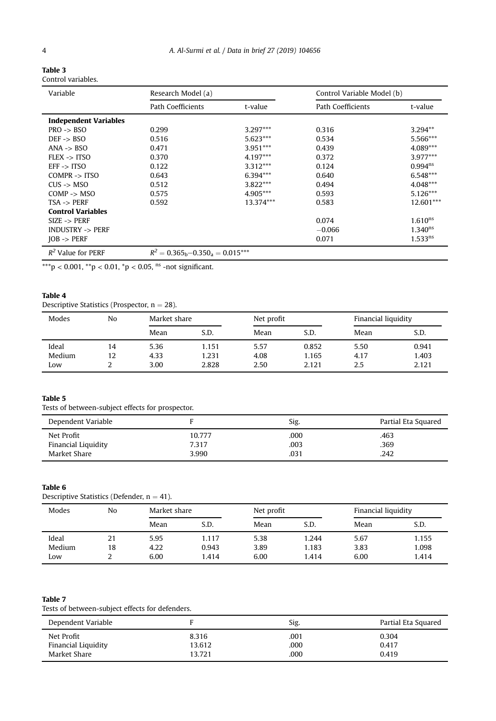| Table 3            |  |
|--------------------|--|
| Control variables. |  |

| Variable                             | Research Model (a)                      |            |                   | Control Variable Model (b) |
|--------------------------------------|-----------------------------------------|------------|-------------------|----------------------------|
|                                      | Path Coefficients<br>t-value            |            | Path Coefficients | t-value                    |
| <b>Independent Variables</b>         |                                         |            |                   |                            |
| $PRO \rightarrow$ BSO                | 0.299                                   | $3.297***$ | 0.316             | $3.294**$                  |
| $DEF$ -> $BSO$                       | 0.516                                   | $5.623***$ | 0.534             | 5.566***                   |
| $ANA \rightarrow BSO$                | 0.471                                   | $3.951***$ | 0.439             | $4.089***$                 |
| $FLEX \rightarrow ITSO$              | 0.370                                   | $4.197***$ | 0.372             | $3.977***$                 |
| $EFF \rightarrow TTSO$               | 0.122                                   | $3.312***$ | 0.124             | $0.994^{ns}$               |
| $COMPR \rightarrow TISO$             | 0.643                                   | $6.394***$ | 0.640             | $6.548***$                 |
| $CUS \rightarrow MSO$                | 0.512                                   | $3.822***$ | 0.494             | 4.048***                   |
| $COMP \rightarrow MSO$               | 0.575                                   | $4.905***$ | 0.593             | $5.126***$                 |
| $TSA \rightarrow PERF$               | 0.592                                   | 13.374***  | 0.583             | 12.601***                  |
| <b>Control Variables</b>             |                                         |            |                   |                            |
| $SIZE \rightarrow PERF$              |                                         |            | 0.074             | 1.610 <sup>ns</sup>        |
| <b>INDUSTRY -&gt; PERF</b>           |                                         |            | $-0.066$          | $1.340^{ns}$               |
| $\text{IOB} \rightarrow \text{PERF}$ |                                         |            | 0.071             | $1.533^{ns}$               |
| $R^2$ Value for PERF                 | $R^2 = 0.365_b - 0.350_s = 0.015^{***}$ |            |                   |                            |

\*\*\*p < 0.001, \*\*p < 0.01, \*p < 0.05, ^ns -not significant.

### Table 4

Descriptive Statistics (Prospector,  $n = 28$ ).

| Modes  | No |      | Market share |      | Net profit |      | Financial liquidity |
|--------|----|------|--------------|------|------------|------|---------------------|
|        |    | Mean | S.D.         | Mean | S.D.       | Mean | S.D.                |
| Ideal  | 14 | 5.36 | 1.151        | 5.57 | 0.852      | 5.50 | 0.941               |
| Medium | 12 | 4.33 | 1.231        | 4.08 | 1.165      | 4.17 | 1.403               |
| Low    | ∠  | 3.00 | 2.828        | 2.50 | 2.121      | 2.5  | 2.121               |

#### Table 5

Tests of between-subject effects for prospector.

| Dependent Variable         |        | Sig. | Partial Eta Squared |
|----------------------------|--------|------|---------------------|
| Net Profit                 | 10.777 | .000 | .463                |
| <b>Financial Liquidity</b> | 7.317  | .003 | .369                |
| Market Share               | 3.990  | .031 | .242                |

#### Table 6

Descriptive Statistics (Defender,  $n = 41$ ).

| Modes  | No | Market share |       | Net profit |       | Financial liquidity |       |
|--------|----|--------------|-------|------------|-------|---------------------|-------|
|        |    | Mean         | S.D.  | Mean       | S.D.  | Mean                | S.D.  |
| Ideal  | 21 | 5.95         | 1.117 | 5.38       | 1.244 | 5.67                | 1.155 |
| Medium | 18 | 4.22         | 0.943 | 3.89       | 1.183 | 3.83                | 1.098 |
| Low    | ำ  | 6.00         | 1.414 | 6.00       | 1.414 | 6.00                | 1.414 |

#### Table 7

Tests of between-subject effects for defenders.

| Dependent Variable                       |                 | Sig.         | Partial Eta Squared |
|------------------------------------------|-----------------|--------------|---------------------|
| Net Profit<br><b>Financial Liquidity</b> | 8.316<br>13.612 | .001<br>.000 | 0.304<br>0.417      |
| Market Share                             | 13.721          | .000         | 0.419               |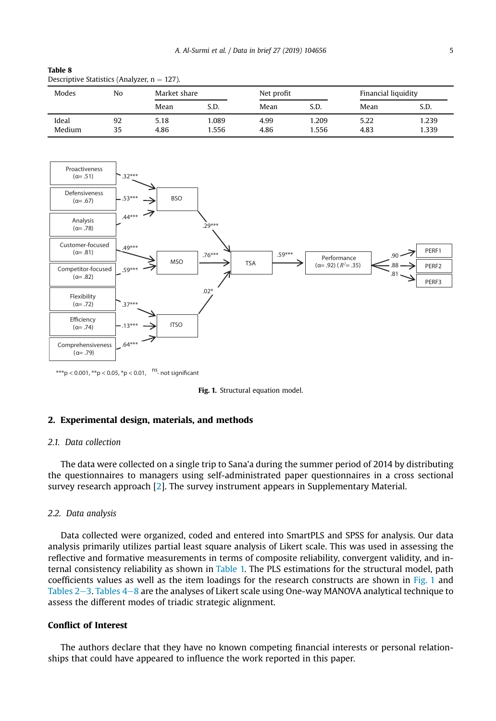| Modes  | No |      | Market share |      | Net profit |      | Financial liquidity |  |
|--------|----|------|--------------|------|------------|------|---------------------|--|
|        |    | Mean | S.D.         | Mean | S.D.       | Mean | S.D.                |  |
| Ideal  | 92 | 5.18 | 1.089        | 4.99 | .209       | 5.22 | 1.239               |  |
| Medium | 35 | 4.86 | 1.556        | 4.86 | .556       | 4.83 | 1.339               |  |

#### Table 8 Descriptive Statistics (Analyzer,  $n = 127$ ).



\*\*\*p < 0.001, \*\*p < 0.05, \*p < 0.01,  $\frac{ns}{n}$  not significant



#### 2. Experimental design, materials, and methods

#### *2.1. Data collection*

The data were collected on a single trip to Sana'a during the summer period of 2014 by distributing the questionnaires to managers using self-administrated paper questionnaires in a cross sectional survey research approach [2]. The survey instrument appears in Supplementary Material.

#### *2.2. Data analysis*

Data collected were organized, coded and entered into SmartPLS and SPSS for analysis. Our data analysis primarily utilizes partial least square analysis of Likert scale. This was used in assessing the reflective and formative measurements in terms of composite reliability, convergent validity, and internal consistency reliability as shown in Table 1. The PLS estimations for the structural model, path coefficients values as well as the item loadings for the research constructs are shown in Fig. 1 and Tables  $2-3$ . Tables  $4-8$  are the analyses of Likert scale using One-way MANOVA analytical technique to assess the different modes of triadic strategic alignment.

### Conflict of Interest

The authors declare that they have no known competing financial interests or personal relationships that could have appeared to influence the work reported in this paper.